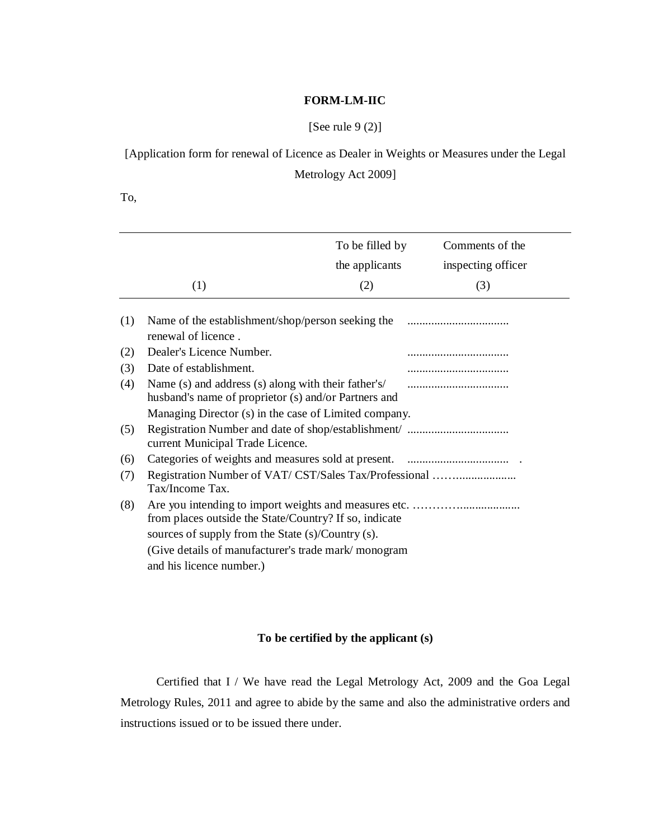## **FORM-LM-IIC**

[See rule 9 (2)]

[Application form for renewal of Licence as Dealer in Weights or Measures under the Legal

Metrology Act 2009]

To,

|     |                                                                                                                                                                     | To be filled by | Comments of the    |
|-----|---------------------------------------------------------------------------------------------------------------------------------------------------------------------|-----------------|--------------------|
|     |                                                                                                                                                                     | the applicants  | inspecting officer |
|     | (1)                                                                                                                                                                 | (2)             | (3)                |
| (1) | Name of the establishment/shop/person seeking the<br>renewal of licence.                                                                                            |                 |                    |
| (2) | Dealer's Licence Number.                                                                                                                                            |                 |                    |
| (3) | Date of establishment.                                                                                                                                              |                 |                    |
| (4) | Name (s) and address (s) along with their father's/<br>husband's name of proprietor (s) and/or Partners and                                                         |                 |                    |
|     | Managing Director (s) in the case of Limited company.                                                                                                               |                 |                    |
| (5) | current Municipal Trade Licence.                                                                                                                                    |                 |                    |
| (6) |                                                                                                                                                                     |                 |                    |
| (7) | Registration Number of VAT/CST/Sales Tax/Professional<br>Tax/Income Tax.                                                                                            |                 |                    |
| (8) | from places outside the State/Country? If so, indicate<br>sources of supply from the State (s)/Country (s).<br>(Give details of manufacturer's trade mark/monogram) |                 |                    |
|     |                                                                                                                                                                     |                 |                    |
|     |                                                                                                                                                                     |                 |                    |
|     | and his licence number.)                                                                                                                                            |                 |                    |

## **To be certified by the applicant (s)**

Certified that I / We have read the Legal Metrology Act, 2009 and the Goa Legal Metrology Rules, 2011 and agree to abide by the same and also the administrative orders and instructions issued or to be issued there under.